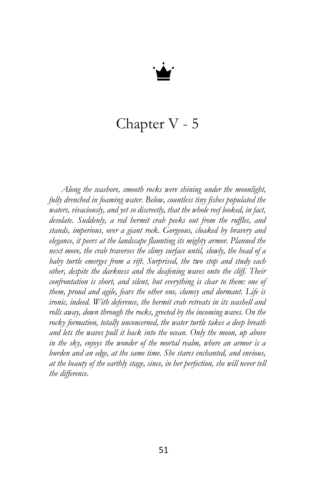

## Chapter V - 5

*Along the seashore, smooth rocks were shining under the moonlight, fully drenched in foaming water. Below, countless tiny fishes populated the waters, vivaciously, and yet so discreetly, that the whole reef looked, in fact, desolate. Suddenly, a red hermit crab peeks out from the ruffles, and stands, imperious, over a giant rock. Gorgeous, cloaked by bravery and elegance, it peers at the landscape flaunting its mighty armor. Planned the next move, the crab traverses the slimy surface until, slowly, the head of a baby turtle emerges from a rift. Surprised, the two stop and study each other, despite the darkness and the deafening waves onto the cliff. Their confrontation is short, and silent, but everything is clear to them: one of them, proud and agile, fears the other one, clumsy and dormant. Life is ironic, indeed. With deference, the hermit crab retreats in its seashell and rolls away, down through the rocks, greeted by the incoming waves. On the rocky formation, totally unconcerned, the water turtle takes a deep breath and lets the waves pull it back into the ocean. Only the moon, up above in the sky, enjoys the wonder of the mortal realm, where an armor is a burden and an edge, at the same time. She stares enchanted, and envious, at the beauty of the earthly stage, since, in her perfection, she will never tell the difference.*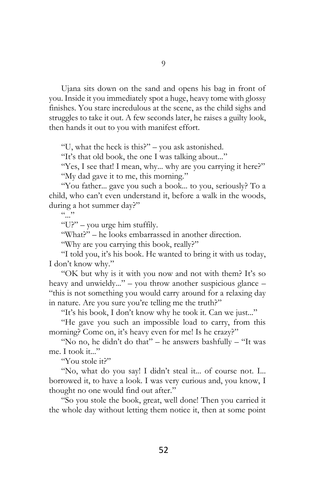Ujana sits down on the sand and opens his bag in front of you. Inside it you immediately spot a huge, heavy tome with glossy finishes. You stare incredulous at the scene, as the child sighs and struggles to take it out. A few seconds later, he raises a guilty look, then hands it out to you with manifest effort.

"U, what the heck is this?" – you ask astonished.

"It's that old book, the one I was talking about..."

"Yes, I see that! I mean, why... why are you carrying it here?" "My dad gave it to me, this morning."

"You father... gave you such a book... to you, seriously? To a child, who can't even understand it, before a walk in the woods, during a hot summer day?"

 $\sum_{\ldots}$ 

"U?" – you urge him stuffily.

"What?" – he looks embarrassed in another direction.

"Why are you carrying this book, really?"

"I told you, it's his book. He wanted to bring it with us today, I don't know why."

"OK but why is it with you now and not with them? It's so heavy and unwieldy..." – you throw another suspicious glance – "this is not something you would carry around for a relaxing day in nature. Are you sure you're telling me the truth?"

"It's his book, I don't know why he took it. Can we just..."

"He gave you such an impossible load to carry, from this morning? Come on, it's heavy even for me! Is he crazy?"

"No no, he didn't do that" – he answers bashfully – "It was me. I took it..."

"You stole it?"

"No, what do you say! I didn't steal it... of course not. I... borrowed it, to have a look. I was very curious and, you know, I thought no one would find out after."

"So you stole the book, great, well done! Then you carried it the whole day without letting them notice it, then at some point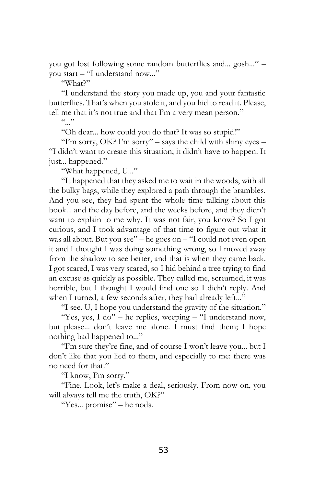you got lost following some random butterflies and... gosh..." – you start – "I understand now..."

"What?"

"I understand the story you made up, you and your fantastic butterflies. That's when you stole it, and you hid to read it. Please, tell me that it's not true and that I'm a very mean person."

 $($ ,  $)$ 

"Oh dear... how could you do that? It was so stupid!"

"I'm sorry, OK? I'm sorry" – says the child with shiny eyes – "I didn't want to create this situation; it didn't have to happen. It just... happened."

"What happened, U..."

"It happened that they asked me to wait in the woods, with all the bulky bags, while they explored a path through the brambles. And you see, they had spent the whole time talking about this book... and the day before, and the weeks before, and they didn't want to explain to me why. It was not fair, you know? So I got curious, and I took advantage of that time to figure out what it was all about. But you see" – he goes on – "I could not even open it and I thought I was doing something wrong, so I moved away from the shadow to see better, and that is when they came back. I got scared, I was very scared, so I hid behind a tree trying to find an excuse as quickly as possible. They called me, screamed, it was horrible, but I thought I would find one so I didn't reply. And when I turned, a few seconds after, they had already left..."

"I see. U, I hope you understand the gravity of the situation."

"Yes, yes, I do" – he replies, weeping – "I understand now, but please... don't leave me alone. I must find them; I hope nothing bad happened to..."

"I'm sure they're fine, and of course I won't leave you... but I don't like that you lied to them, and especially to me: there was no need for that."

"I know, I'm sorry."

"Fine. Look, let's make a deal, seriously. From now on, you will always tell me the truth, OK?"

"Yes... promise" – he nods.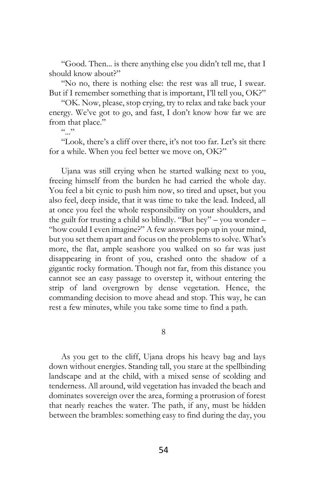"Good. Then... is there anything else you didn't tell me, that I should know about?"

"No no, there is nothing else: the rest was all true, I swear. But if I remember something that is important, I'll tell you, OK?"

"OK. Now, please, stop crying, try to relax and take back your energy. We've got to go, and fast, I don't know how far we are from that place."

 $($ ,  $)$ 

"Look, there's a cliff over there, it's not too far. Let's sit there for a while. When you feel better we move on, OK?"

Ujana was still crying when he started walking next to you, freeing himself from the burden he had carried the whole day. You feel a bit cynic to push him now, so tired and upset, but you also feel, deep inside, that it was time to take the lead. Indeed, all at once you feel the whole responsibility on your shoulders, and the guilt for trusting a child so blindly. "But hey" – you wonder – "how could I even imagine?" A few answers pop up in your mind, but you set them apart and focus on the problems to solve. What's more, the flat, ample seashore you walked on so far was just disappearing in front of you, crashed onto the shadow of a gigantic rocky formation. Though not far, from this distance you cannot see an easy passage to overstep it, without entering the strip of land overgrown by dense vegetation. Hence, the commanding decision to move ahead and stop. This way, he can rest a few minutes, while you take some time to find a path.

8

As you get to the cliff, Ujana drops his heavy bag and lays down without energies. Standing tall, you stare at the spellbinding landscape and at the child, with a mixed sense of scolding and tenderness. All around, wild vegetation has invaded the beach and dominates sovereign over the area, forming a protrusion of forest that nearly reaches the water. The path, if any, must be hidden between the brambles: something easy to find during the day, you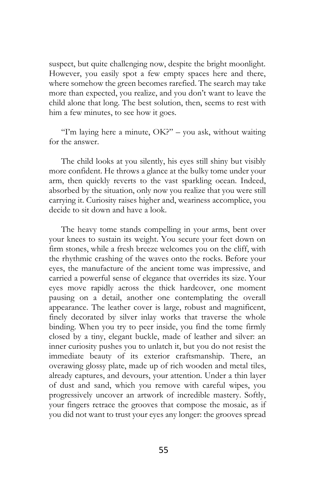suspect, but quite challenging now, despite the bright moonlight. However, you easily spot a few empty spaces here and there, where somehow the green becomes rarefied. The search may take more than expected, you realize, and you don't want to leave the child alone that long. The best solution, then, seems to rest with him a few minutes, to see how it goes.

"I'm laying here a minute,  $OK?$ " – you ask, without waiting for the answer.

The child looks at you silently, his eyes still shiny but visibly more confident. He throws a glance at the bulky tome under your arm, then quickly reverts to the vast sparkling ocean. Indeed, absorbed by the situation, only now you realize that you were still carrying it. Curiosity raises higher and, weariness accomplice, you decide to sit down and have a look.

The heavy tome stands compelling in your arms, bent over your knees to sustain its weight. You secure your feet down on firm stones, while a fresh breeze welcomes you on the cliff, with the rhythmic crashing of the waves onto the rocks. Before your eyes, the manufacture of the ancient tome was impressive, and carried a powerful sense of elegance that overrides its size. Your eyes move rapidly across the thick hardcover, one moment pausing on a detail, another one contemplating the overall appearance. The leather cover is large, robust and magnificent, finely decorated by silver inlay works that traverse the whole binding. When you try to peer inside, you find the tome firmly closed by a tiny, elegant buckle, made of leather and silver: an inner curiosity pushes you to unlatch it, but you do not resist the immediate beauty of its exterior craftsmanship. There, an overawing glossy plate, made up of rich wooden and metal tiles, already captures, and devours, your attention. Under a thin layer of dust and sand, which you remove with careful wipes, you progressively uncover an artwork of incredible mastery. Softly, your fingers retrace the grooves that compose the mosaic, as if you did not want to trust your eyes any longer: the grooves spread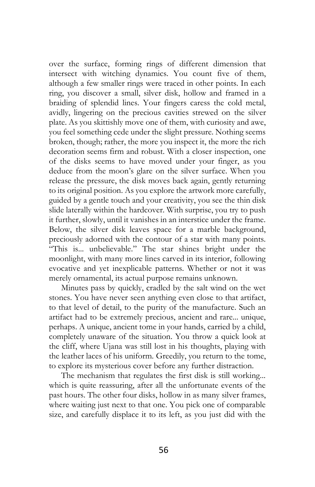over the surface, forming rings of different dimension that intersect with witching dynamics. You count five of them, although a few smaller rings were traced in other points. In each ring, you discover a small, silver disk, hollow and framed in a braiding of splendid lines. Your fingers caress the cold metal, avidly, lingering on the precious cavities strewed on the silver plate. As you skittishly move one of them, with curiosity and awe, you feel something cede under the slight pressure. Nothing seems broken, though; rather, the more you inspect it, the more the rich decoration seems firm and robust. With a closer inspection, one of the disks seems to have moved under your finger, as you deduce from the moon's glare on the silver surface. When you release the pressure, the disk moves back again, gently returning to its original position. As you explore the artwork more carefully, guided by a gentle touch and your creativity, you see the thin disk slide laterally within the hardcover. With surprise, you try to push it further, slowly, until it vanishes in an interstice under the frame. Below, the silver disk leaves space for a marble background, preciously adorned with the contour of a star with many points. "This is... unbelievable." The star shines bright under the moonlight, with many more lines carved in its interior, following evocative and yet inexplicable patterns. Whether or not it was merely ornamental, its actual purpose remains unknown.

Minutes pass by quickly, cradled by the salt wind on the wet stones. You have never seen anything even close to that artifact, to that level of detail, to the purity of the manufacture. Such an artifact had to be extremely precious, ancient and rare... unique, perhaps. A unique, ancient tome in your hands, carried by a child, completely unaware of the situation. You throw a quick look at the cliff, where Ujana was still lost in his thoughts, playing with the leather laces of his uniform. Greedily, you return to the tome, to explore its mysterious cover before any further distraction.

The mechanism that regulates the first disk is still working... which is quite reassuring, after all the unfortunate events of the past hours. The other four disks, hollow in as many silver frames, where waiting just next to that one. You pick one of comparable size, and carefully displace it to its left, as you just did with the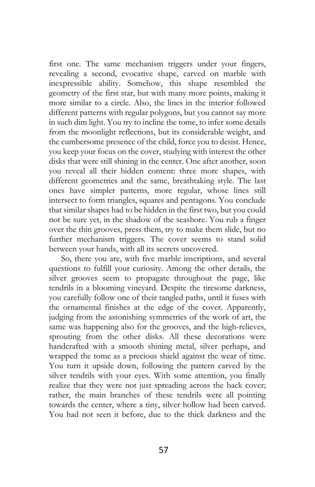first one. The same mechanism triggers under your fingers, revealing a second, evocative shape, carved on marble with inexpressible ability. Somehow, this shape resembled the geometry of the first star, but with many more points, making it more similar to a circle. Also, the lines in the interior followed different patterns with regular polygons, but you cannot say more in such dim light. You try to incline the tome, to infer some details from the moonlight reflections, but its considerable weight, and the cumbersome presence of the child, force you to desist. Hence, you keep your focus on the cover, studying with interest the other disks that were still shining in the center. One after another, soon you reveal all their hidden content: three more shapes, with different geometries and the same, breathtaking style. The last ones have simpler patterns, more regular, whose lines still intersect to form triangles, squares and pentagons. You conclude that similar shapes had to be hidden in the first two, but you could not be sure yet, in the shadow of the seashore. You rub a finger over the thin grooves, press them, try to make them slide, but no further mechanism triggers. The cover seems to stand solid between your hands, with all its secrets uncovered.

So, there you are, with five marble inscriptions, and several questions to fulfill your curiosity. Among the other details, the silver grooves seem to propagate throughout the page, like tendrils in a blooming vineyard. Despite the tiresome darkness, you carefully follow one of their tangled paths, until it fuses with the ornamental finishes at the edge of the cover. Apparently, judging from the astonishing symmetries of the work of art, the same was happening also for the grooves, and the high-relieves, sprouting from the other disks. All these decorations were handcrafted with a smooth shining metal, silver perhaps, and wrapped the tome as a precious shield against the wear of time. You turn it upside down, following the pattern carved by the silver tendrils with your eyes. With some attention, you finally realize that they were not just spreading across the back cover; rather, the main branches of these tendrils were all pointing towards the center, where a tiny, silver hollow had been carved. You had not seen it before, due to the thick darkness and the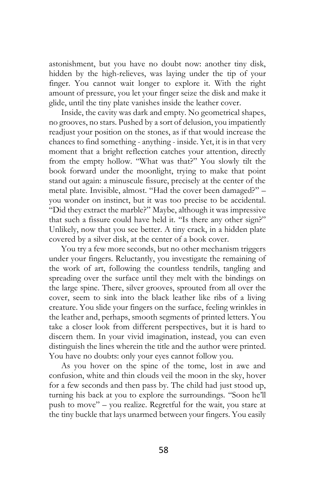astonishment, but you have no doubt now: another tiny disk, hidden by the high-relieves, was laying under the tip of your finger. You cannot wait longer to explore it. With the right amount of pressure, you let your finger seize the disk and make it glide, until the tiny plate vanishes inside the leather cover.

Inside, the cavity was dark and empty. No geometrical shapes, no grooves, no stars. Pushed by a sort of delusion, you impatiently readjust your position on the stones, as if that would increase the chances to find something - anything - inside. Yet, it is in that very moment that a bright reflection catches your attention, directly from the empty hollow. "What was that?" You slowly tilt the book forward under the moonlight, trying to make that point stand out again: a minuscule fissure, precisely at the center of the metal plate. Invisible, almost. "Had the cover been damaged?" – you wonder on instinct, but it was too precise to be accidental. "Did they extract the marble?" Maybe, although it was impressive that such a fissure could have held it. "Is there any other sign?" Unlikely, now that you see better. A tiny crack, in a hidden plate covered by a silver disk, at the center of a book cover.

You try a few more seconds, but no other mechanism triggers under your fingers. Reluctantly, you investigate the remaining of the work of art, following the countless tendrils, tangling and spreading over the surface until they melt with the bindings on the large spine. There, silver grooves, sprouted from all over the cover, seem to sink into the black leather like ribs of a living creature. You slide your fingers on the surface, feeling wrinkles in the leather and, perhaps, smooth segments of printed letters. You take a closer look from different perspectives, but it is hard to discern them. In your vivid imagination, instead, you can even distinguish the lines wherein the title and the author were printed. You have no doubts: only your eyes cannot follow you.

As you hover on the spine of the tome, lost in awe and confusion, white and thin clouds veil the moon in the sky, hover for a few seconds and then pass by. The child had just stood up, turning his back at you to explore the surroundings. "Soon he'll push to move" – you realize. Regretful for the wait, you stare at the tiny buckle that lays unarmed between your fingers. You easily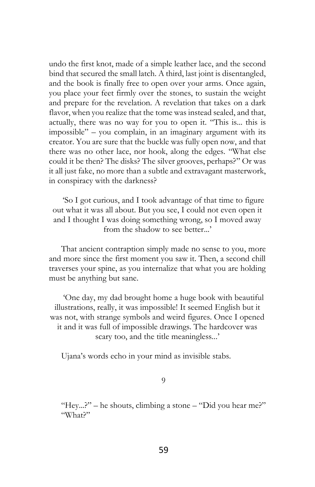undo the first knot, made of a simple leather lace, and the second bind that secured the small latch. A third, last joint is disentangled, and the book is finally free to open over your arms. Once again, you place your feet firmly over the stones, to sustain the weight and prepare for the revelation. A revelation that takes on a dark flavor, when you realize that the tome was instead sealed, and that, actually, there was no way for you to open it. "This is... this is impossible" – you complain, in an imaginary argument with its creator. You are sure that the buckle was fully open now, and that there was no other lace, nor hook, along the edges. "What else could it be then? The disks? The silver grooves, perhaps?" Or was it all just fake, no more than a subtle and extravagant masterwork, in conspiracy with the darkness?

'So I got curious, and I took advantage of that time to figure out what it was all about. But you see, I could not even open it and I thought I was doing something wrong, so I moved away from the shadow to see better...'

That ancient contraption simply made no sense to you, more and more since the first moment you saw it. Then, a second chill traverses your spine, as you internalize that what you are holding must be anything but sane.

'One day, my dad brought home a huge book with beautiful illustrations, really, it was impossible! It seemed English but it was not, with strange symbols and weird figures. Once I opened it and it was full of impossible drawings. The hardcover was scary too, and the title meaningless...'

Ujana's words echo in your mind as invisible stabs.

9

"Hey...?" – he shouts, climbing a stone – "Did you hear me?" "What?"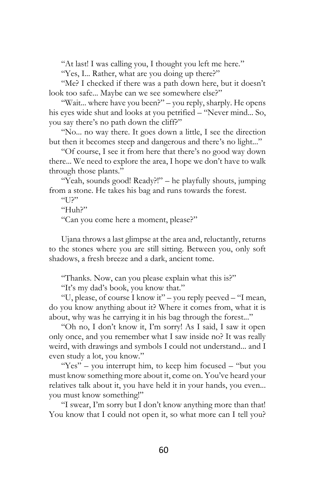"At last! I was calling you, I thought you left me here."

"Yes, I... Rather, what are you doing up there?"

"Me? I checked if there was a path down here, but it doesn't look too safe... Maybe can we see somewhere else?"

"Wait... where have you been?" – you reply, sharply. He opens his eyes wide shut and looks at you petrified – "Never mind... So, you say there's no path down the cliff?"

"No... no way there. It goes down a little, I see the direction but then it becomes steep and dangerous and there's no light..."

"Of course, I see it from here that there's no good way down there... We need to explore the area, I hope we don't have to walk through those plants."

"Yeah, sounds good! Ready?!" – he playfully shouts, jumping from a stone. He takes his bag and runs towards the forest.

"<sup>2"</sup>

"Huh?"

"Can you come here a moment, please?"

Ujana throws a last glimpse at the area and, reluctantly, returns to the stones where you are still sitting. Between you, only soft shadows, a fresh breeze and a dark, ancient tome.

"Thanks. Now, can you please explain what this is?"

"It's my dad's book, you know that."

"U, please, of course I know it" – you reply peeved – "I mean, do you know anything about it? Where it comes from, what it is about, why was he carrying it in his bag through the forest..."

"Oh no, I don't know it, I'm sorry! As I said, I saw it open only once, and you remember what I saw inside no? It was really weird, with drawings and symbols I could not understand... and I even study a lot, you know."

"Yes" – you interrupt him, to keep him focused – "but you must know something more about it, come on. You've heard your relatives talk about it, you have held it in your hands, you even... you must know something!"

"I swear, I'm sorry but I don't know anything more than that! You know that I could not open it, so what more can I tell you?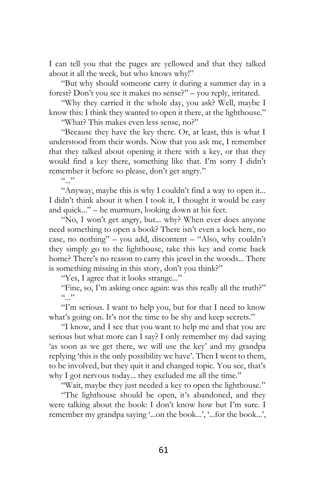I can tell you that the pages are yellowed and that they talked about it all the week, but who knows why!"

"But why should someone carry it during a summer day in a forest? Don't you see it makes no sense?" – you reply, irritated.

"Why they carried it the whole day, you ask? Well, maybe I know this: I think they wanted to open it there, at the lighthouse."

"What? This makes even less sense, no?"

"Because they have the key there. Or, at least, this is what I understood from their words. Now that you ask me, I remember that they talked about opening it there with a key, or that they would find a key there, something like that. I'm sorry I didn't remember it before so please, don't get angry."

 $(0, 0)$ 

"Anyway, maybe this is why I couldn't find a way to open it... I didn't think about it when I took it, I thought it would be easy and quick..." – he murmurs, looking down at his feet.

"No, I won't get angry, but... why? When ever does anyone need something to open a book? There isn't even a lock here, no case, no nothing" – you add, discontent – "Also, why couldn't they simply go to the lighthouse, take this key and come back home? There's no reason to carry this jewel in the woods... There is something missing in this story, don't you think?"

"Yes, I agree that it looks strange..."

"Fine, so, I'm asking once again: was this really all the truth?"  $(0, 0)$ 

"I'm serious. I want to help you, but for that I need to know what's going on. It's not the time to be shy and keep secrets."

"I know, and I see that you want to help me and that you are serious but what more can I say? I only remember my dad saying 'as soon as we get there, we will use the key' and my grandpa replying 'this is the only possibility we have'. Then I went to them, to be involved, but they quit it and changed topic. You see, that's why I got nervous today... they excluded me all the time."

"Wait, maybe they just needed a key to open the lighthouse."

"The lighthouse should be open, it's abandoned, and they were talking about the book: I don't know how but I'm sure. I remember my grandpa saying '...on the book...', '...for the book...',